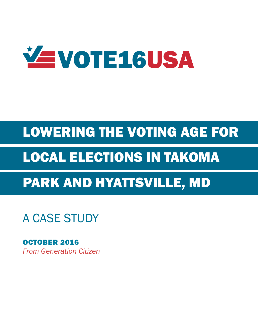

# LOWERING THE VOTING AGE FOR

# LOCAL ELECTIONS IN TAKOMA

# PARK AND HYATTSVILLE, MD

A CASE STUDY

*From Generation Citizen* OCTOBER 2016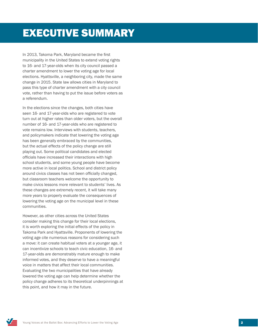# EXECUTIVE SUMMARY

In 2013, Takoma Park, Maryland became the first municipality in the United States to extend voting rights to 16- and 17-year-olds when its city council passed a charter amendment to lower the voting age for local elections. Hyattsville, a neighboring city, made the same change in 2015. State law allows cities in Maryland to pass this type of charter amendment with a city council vote, rather than having to put the issue before voters as a referendum.

In the elections since the changes, both cities have seen 16- and 17-year-olds who are registered to vote turn out at higher rates than older voters, but the overall number of 16- and 17-year-olds who are registered to vote remains low. Interviews with students, teachers, and policymakers indicate that lowering the voting age has been generally embraced by the communities, but the actual effects of the policy change are still playing out. Some political candidates and elected officials have increased their interactions with high school students, and some young people have become more active in local politics. School and district policy around civics classes has not been officially changed, but classroom teachers welcome the opportunity to make civics lessons more relevant to students' lives. As these changes are extremely recent, it will take many more years to properly evaluate the consequences of lowering the voting age on the municipal level in these communities.

However, as other cities across the United States consider making this change for their local elections, it is worth exploring the initial effects of the policy in Takoma Park and Hyattsville. Proponents of lowering the voting age cite numerous reasons for considering such a move: it can create habitual voters at a younger age, it can incentivize schools to teach civic education, 16- and 17-year-olds are demonstrably mature enough to make informed votes, and they deserve to have a meaningful voice in matters that affect their local communities. Evaluating the two municipalities that have already lowered the voting age can help determine whether the policy change adheres to its theoretical underpinnings at this point, and how it may in the future.

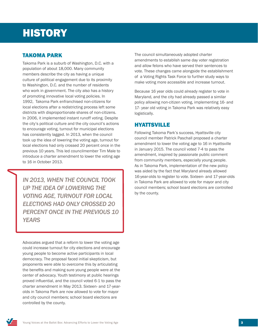# **HISTORY**

### TAKOMA PARK

Takoma Park is a suburb of Washington, D.C. with a population of about 18,000. Many community members describe the city as having a unique culture of political engagement due to its proximity to Washington, D.C. and the number of residents who work in government. The city also has a history of promoting innovative local voting policies. In 1992, Takoma Park enfranchised non-citizens for local elections after a redistricting process left some districts with disproportionate shares of non-citizens. In 2006, it implemented instant runoff voting. Despite the city's political culture and the city council's actions to encourage voting, turnout for municipal elections has consistently lagged. In 2013, when the council took up the idea of lowering the voting age, turnout for local elections had only crossed 20 percent once in the previous 10 years. This led councilmember Tim Male to introduce a charter amendment to lower the voting age to 16 in October 2013.

*IN 2013, WHEN THE COUNCIL TOOK UP THE IDEA OF LOWERING THE VOTING AGE, TURNOUT FOR LOCAL ELECTIONS HAD ONLY CROSSED 20 PERCENT ONCE IN THE PREVIOUS 10 YEARS*

Advocates argued that a reform to lower the voting age could increase turnout for city elections and encourage young people to become active participants in local democracy. The proposal faced initial skepticism, but proponents were able to overcome this by articulating the benefits and making sure young people were at the center of advocacy. Youth testimony at public hearings proved influential, and the council voted 6-1 to pass the charter amendment in May 2013. Sixteen- and 17-yearolds in Takoma Park are now allowed to vote for mayor and city council members; school board elections are controlled by the county.

The council simultaneously adopted charter amendments to establish same day voter registration and allow felons who have served their sentences to vote. These changes came alongside the establishment of a Voting Rights Task Force to further study ways to make voting more accessible and increase turnout.

Because 16 year olds could already register to vote in Maryland, and the city had already passed a similar policy allowing non-citizen voting, implementing 16- and 17- year old voting in Takoma Park was relatively easy logistically.

### HYATTSVILLE

Following Takoma Park's success, Hyattsville city council member Patrick Paschall proposed a charter amendment to lower the voting age to 16 in Hyattsville in January 2015. The council voted 7-4 to pass the amendment, inspired by passionate public comment from community members, especially young people. As in Takoma Park, implementation of the new policy was aided by the fact that Maryland already allowed 16-year-olds to register to vote. Sixteen- and 17-year-olds in Takoma Park are allowed to vote for mayor and city council members; school board elections are controlled by the county.

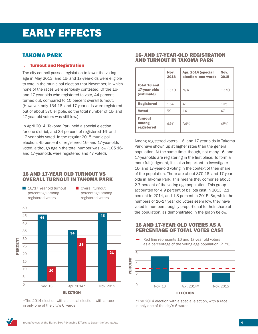### **TAKOMA PARK**

#### I. Turnout and Registration

The city council passed legislation to lower the voting age in May 2013, and 16- and 17-year-olds were eligible to vote in the municipal election that November, in which none of the races were seriously contested. Of the 16 and 17-year-olds who registered to vote, 44 percent turned out, compared to 10 percent overall turnout. (However, only 134 16- and 17-year-olds were registered out of about 370 eligible, so the total number of 16- and 17-year-old voters was still low.) Red line represents 16 and 17-year old voters The city council passed legislation to lower the

In April 2014, Takoma Park held a special election for one district, and 34 percent of registered 16- and 17-year-olds voted. In the regular 2015 municipal election, 45 percent of registered 16- and 17-year-olds voted, although again the total number was low (105 16 and 17-year-olds were registered and 47 voted).

#### 16 AND 17-YEAR OLD TURNOUT VS OVERALL TURNOUT IN TAKOMA PARK



**Overall turnout** percentage among registered voters



\*The 2014 election with a special election, with a race in only one of the city's 6 wards

#### 16- AND 17-YEAR-OLD REGISTRATION AND TURNOUT IN TAKOMA PARK

|                                                   | Nov.<br>2013 | Apr. 2014 (special<br>election -one ward) | Nov.<br>2015 |
|---------------------------------------------------|--------------|-------------------------------------------|--------------|
| <b>Total 16 and</b><br>17-year olds<br>(estimate) | ~1.370       | N/A                                       | ~2370        |
| <b>Registered</b>                                 | 134          | 41                                        | 105          |
| <b>Voted</b>                                      | 59           | 14                                        | 47           |
| <b>Turnout</b><br>among<br>registered             | 44%          | 34%                                       | 45%          |

Among registered voters, 16- and 17-year-olds in Takoma Park have shown up at higher rates than the general population. At the same time, though, not many 16- and 17-year-olds are registering in the first place. To form a more full judgment, it is also important to investigate 16- and 17-year-old voting in the context of their share of the population. There are about 370 16- and 17-yearolds in Takoma Park. This means they comprise about 2.7 percent of the voting age population. This group accounted for 4.9 percent of ballots cast in 2013, 2.1 percent in 2014, and 1.8 percent in 2015. So, while the percent in 2021, and 210 percent in 2020, 00, million (its<br>numbers of 16-17 year old voters seem low, they have voted in numbers roughly proportional to their share of 6 the population, as demonstrated in the graph below.

## PERCENTAGE OF TOTAL VOTES CAST ne $\mathbf 1$ 16 AND 17-YEAR OLD VOTERS AS A

ц. Red line represents 16 and 17-year old voters as a percentage of the voting age population  $(2.7\%)$ 



\*The 2014 election with a special election, with a race in only one of the city's 6 wards

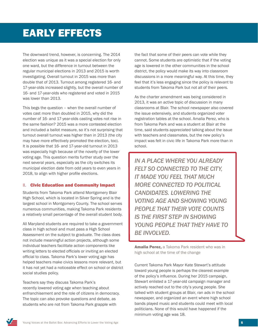The downward trend, however, is concerning. The 2014 election was unique as it was a special election for only one ward, but the difference in turnout between the regular municipal elections in 2013 and 2015 is worth investigating. Overall turnout in 2015 was more than double that of 2013. Turnout among registered 16- and 17-year-olds increased slightly, but the overall number of 16- and 17-year-olds who registered and voted in 2015 was lower than 2013.

This begs the question – when the overall number of votes cast more than doubled in 2015, why did the number of 16- and 17-year-olds casting votes not rise in the same fashion? 2015 was a more contested election and included a ballot measure, so it's not surprising that turnout overall turnout was higher than in 2013 (the city may have more effectively promoted the election, too). It is possible that 16- and 17-year-old turnout in 2013 was especially high because of the novelty of the lower voting age. This question merits further study over the next several years, especially as the city switches its municipal election date from odd years to even years in 2018, to align with higher profile elections.

#### II. Civic Education and Community Impact

Students from Takoma Park attend Montgomery Blair High School, which is located in Silver Spring and is the largest school in Montgomery County. The school serves numerous communities, making Takoma Park residents a relatively small percentage of the overall student body.

All Maryland students are required to take a government class in high school and must pass a High School Assessment on the subject to graduate. The class does not include meaningful action projects, although some individual teachers facilitate action components like writing letters to elected officials or inviting an elected official to class. Takoma Park's lower voting age has helped teachers make civics lessons more relevant, but it has not yet had a noticeable effect on school or district social studies policy.

Teachers say they discuss Takoma Park's recently lowered voting age when teaching about enfranchisement and the role of citizens in democracy. The topic can also provoke questions and debate, as students who are not from Takoma Park grapple with

the fact that some of their peers can vote while they cannot. Some students are optimistic that if the voting age is lowered in the other communities in the school district, the policy would make its way into classroom discussions in a more meaningful way. At this time, they feel that it's less engaging since the policy is relevant to students from Takoma Park but not all of their peers.

As the charter amendment was being considered in 2013, it was an active topic of discussion in many classrooms at Blair. The school newspaper also covered the issue extensively, and students organized voter registration tables at the school. Amalia Perez, who is from Takoma Park and was a student at Blair at the time, said students appreciated talking about the issue with teachers and classmates, but the new policy's impact was felt in civic life in Takoma Park more than in school.

*IN A PLACE WHERE YOU ALREADY FELT SO CONNECTED TO THE CITY, IT MADE YOU FEEL THAT MUCH MORE CONNECTED TO POLITICAL CANDIDATES. LOWERING THE VOTING AGE AND SHOWING YOUNG PEOPLE THAT THEIR VOTE COUNTS IS THE FIRST STEP IN SHOWING YOUNG PEOPLE THAT THEY HAVE TO BE INVOLVED.*

Amalia Perez, a Takoma Park resident who was in high school at the time of the change

Current Takoma Park Mayor Kate Stewart's attitude toward young people is perhaps the clearest example of the policy's influence. During her 2015 campaign, Stewart enlisted a 17-year-old campaign manager and actively reached out to the city's young people. She talked with student groups at Blair, ran ads in the school newspaper, and organized an event where high school bands played music and students could meet with local politicians. None of this would have happened if the minimum voting age was 18.

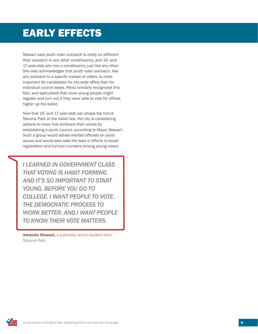Stewart said youth voter outreach is really no different than outreach to any other constituency, and 16- and 17-year-olds are now a constituency just like any other. She also acknowledges that youth voter outreach, like any outreach to a specific subset of voters, is more important for candidates for city-wide office than for individual council seats. Perez similarly recognized this fact, and speculated that more young people might register and turn out if they were able to vote for offices higher up the ballot.

Now that 16- and 17-year-olds can shape the future Takoma Park at the ballot box, the city is considering options to more fully embrace their voices by establishing a youth council, according to Mayor Stewart. Such a group would advise elected officials on youth issues and would also take the lead in efforts to boost registration and turnout numbers among young voters.

*I LEARNED IN GOVERNMENT CLASS THAT VOTING IS HABIT FORMING AND IT'S SO IMPORTANT TO START YOUNG, BEFORE YOU GO TO COLLEGE. I WANT PEOPLE TO VOTE, THE DEMOCRATIC PROCESS TO WORK BETTER, AND I WANT PEOPLE TO KNOW THEIR VOTE MATTERS.*

Amanda Wessel, a politically active student from Takoma Park

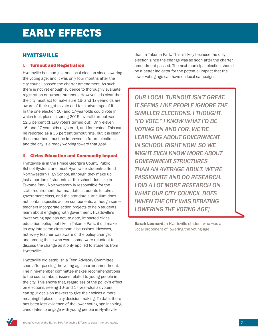### **HYATTSVILLE**

#### I. Turnout and Registration

Hyattsville has had just one local election since lowering the voting age, and it was only four months after the city council passed the charter amendment. As such, there is not yet enough evidence to thoroughly evaluate registration or turnout numbers. However, it is clear that the city must act to make sure 16- and 17-year-olds are aware of their right to vote and take advantage of it. In the one election 16- and 17-year-olds could vote in, which took place in spring 2015, overall turnout was 12.5 percent (1,190 voters turned out). Only eleven 16- and 17-year-olds registered, and four voted. This can be reported as a 36 percent turnout rate, but it is clear these numbers must be improved in future elections, and the city is already working toward that goal.

#### II. Civics Education and Community Impact

Hyattsville is in the Prince George's County Public School System, and most Hyattsville students attend Northwestern High School, although they make up just a portion of students at the school. Just like in Takoma Park, Northwestern is responsible for the state requirement that mandates students to take a government class, and the standard curriculum does not contain specific action components, although some teachers incorporate action projects to help students learn about engaging with government. Hyattsville's lower voting age has not, to date, impacted civics education policy, but like in Takoma Park, it did make its way into some classroom discussions. However, not every teacher was aware of the policy change, and among those who were, some were reluctant to discuss the change as it only applied to students from Hyattsville.

Hyattsville did establish a Teen Advisory Committee soon after passing the voting age charter amendment. The nine-member committee makes recommendations to the council about issues related to young people in the city. This shows that, regardless of the policy's effect on elections, seeing 16- and 17-year-olds as voters can spur decision makers to give their voices a more meaningful place in city decision-making. To date, there has been less evidence of the lower voting age inspiring candidates to engage with young people in Hyattsville

than in Takoma Park. This is likely because the only election since the change was so soon after the charter amendment passed. The next municipal election should be a better indicator for the potential impact that the lower voting age can have on local campaigns.

*OUR LOCAL TURNOUT ISN'T GREAT. IT SEEMS LIKE PEOPLE IGNORE THE SMALLER ELECTIONS. I THOUGHT, "I'D VOTE." I KNOW WHAT I'D BE VOTING ON AND FOR. WE'RE LEARNING ABOUT GOVERNMENT IN SCHOOL RIGHT NOW, SO WE MIGHT EVEN KNOW MORE ABOUT GOVERNMENT STRUCTURES THAN AN AVERAGE ADULT. WE'RE PASSIONATE AND DO RESEARCH. I DID A LOT MORE RESEARCH ON WHAT OUR CITY COUNCIL DOES [WHEN THE CITY WAS DEBATING LOWERING THE VOTING AGE].*

**Sarah Leonard, a Hyattsville student who was a** vocal proponent of lowering the voting age

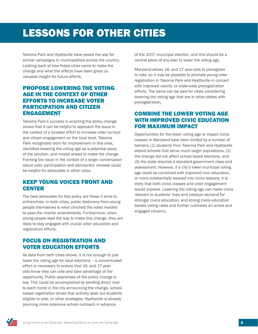# LESSONS FOR OTHER CITIES

Takoma Park and Hyattsville have paved the way for similar campaigns in municipalities across the country. Looking back at how these cities came to make the change and what the effects have been gives us valuable insight for future efforts.

### PROPOSE LOWERING THE VOTING AGE IN THE CONTEXT OF OTHER EFFORTS TO INCREASE VOTER PARTICIPATION AND CITIZEN ENGAGEMENT

Takoma Park's success in enacting the policy change shows that it can be helpful to approach the issue in the context of a broader effort to increase voter turnout and citizen engagement on the local level. Takoma Park recognized room for improvement in this area, identified lowering the voting age as a potential piece of the solution, and moved ahead to make the change. Framing the issue in the context of a larger conversation about voter participation and democratic renewal could be helpful for advocates in other cities.

### KEEP YOUNG VOICES FRONT AND **CENTER**

The best advocates for this policy are those it aims to enfranchise. In both cities, public testimony from young people themselves is what clinched the votes needed to pass the charter amendments. Furthermore, when young people lead the way to make this change, they are likely to stay engaged with crucial voter education and registration efforts.

### FOCUS ON REGISTRATION AND VOTER EDUCATION EFFORTS

As data from both cities shows, it is not enough to just lower the voting age for local elections – a concentrated effort is necessary to ensure that 16- and 17-yearolds know they can vote and take advantage of the opportunity. Public awareness of the policy change is key. This could be accomplished by sending direct mail to each home in the city announcing the change, schoolbased registration drives that actively seek out students eligible to vote, or other strategies. Hyattsville is already planning more extensive school outreach in advance

of the 2017 municipal election, and this should be a central piece of any plan to lower the voting age.

Maryland allows 16- and 17-year-olds to preregister to vote, so it may be possible to promote young voter registration in Takoma Park and Hyattsville in concert with improved county- or state-wide preregistration efforts. The same can be said for cities considering lowering the voting age that are in other states with preregistration.

### COMBINE THE LOWER VOTING AGE WITH IMPROVED CIVIC EDUCATION FOR MAXIMUM IMPACT

Opportunities for the lower voting age to impact civics classes in Maryland have been limited by a number of barriers: (1) students from Takoma Park and Hyattsville attend schools that serve much larger populations, (2) the change did not affect school board elections, and (3) the state requires a standard government class and assessment. However, if a city's lower municipal voting age could be combined with improved civic education, or more substantially weaved into civics lessons, it is likely that both civics classes and voter engagement would improve. Lowering the voting age can make civics relevant to students' lives and catalyze demand for stronger civics education, and strong civics education boosts voting rates and further cultivates an active and engaged citizenry.